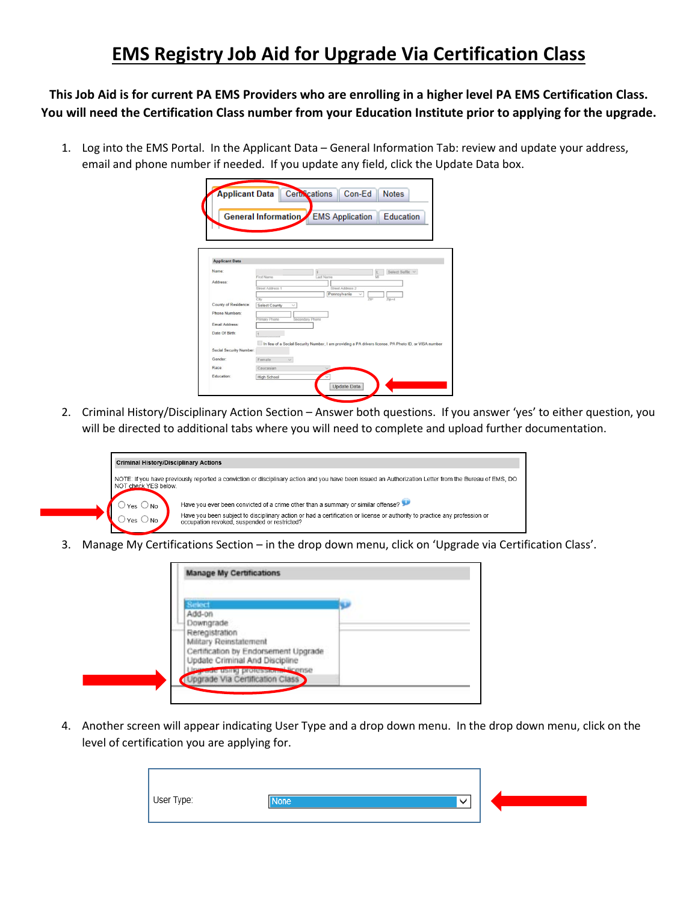## **EMS Registry Job Aid for Upgrade Via Certification Class**

**This Job Aid is for current PA EMS Providers who are enrolling in a higher level PA EMS Certification Class. You will need the Certification Class number from your Education Institute prior to applying for the upgrade.**

1. Log into the EMS Portal. In the Applicant Data – General Information Tab: review and update your address, email and phone number if needed. If you update any field, click the Update Data box.

|                         | <b>General Information</b>    | <b>EMS</b> Application                                                                                | Education       |  |
|-------------------------|-------------------------------|-------------------------------------------------------------------------------------------------------|-----------------|--|
|                         |                               |                                                                                                       |                 |  |
|                         |                               |                                                                                                       |                 |  |
|                         |                               |                                                                                                       |                 |  |
| <b>Applicant Data</b>   |                               |                                                                                                       |                 |  |
|                         |                               |                                                                                                       |                 |  |
| Name:                   | First Name                    | ast Name                                                                                              | Select Suffix V |  |
| Address:                |                               |                                                                                                       |                 |  |
|                         | Street Address 1              | Street Address 2                                                                                      |                 |  |
|                         | City                          | Pennsylvania                                                                                          | $700 + 4$       |  |
| County of Residence:    | Select County<br>$\checkmark$ |                                                                                                       |                 |  |
| Phone Numbers:          |                               |                                                                                                       |                 |  |
| Email Address:          | Primary Phone                 | Secondary Phone                                                                                       |                 |  |
|                         |                               |                                                                                                       |                 |  |
| Date Of Birth:          |                               |                                                                                                       |                 |  |
|                         |                               | In lieu of a Social Security Number, I am providing a PA drivers license, PA Photo ID, or VISA number |                 |  |
| Social Security Number: |                               |                                                                                                       |                 |  |
| Gender                  | Female                        |                                                                                                       |                 |  |
|                         |                               |                                                                                                       |                 |  |
| Race:                   | Caucasian                     |                                                                                                       |                 |  |

2. Criminal History/Disciplinary Action Section – Answer both questions. If you answer 'yes' to either question, you will be directed to additional tabs where you will need to complete and upload further documentation.



3. Manage My Certifications Section – in the drop down menu, click on 'Upgrade via Certification Class'.

| Military Reinstatement                                                                                       |  |
|--------------------------------------------------------------------------------------------------------------|--|
| Certification by Endorsement Upgrade                                                                         |  |
|                                                                                                              |  |
|                                                                                                              |  |
| Update Criminal And Discipline<br><b>Court using professional finance</b><br>Upgrade Via Certification Class |  |

4. Another screen will appear indicating User Type and a drop down menu. In the drop down menu, click on the level of certification you are applying for.

| User Type:<br><b>None</b> | $\checkmark$ |  |  |
|---------------------------|--------------|--|--|
|---------------------------|--------------|--|--|